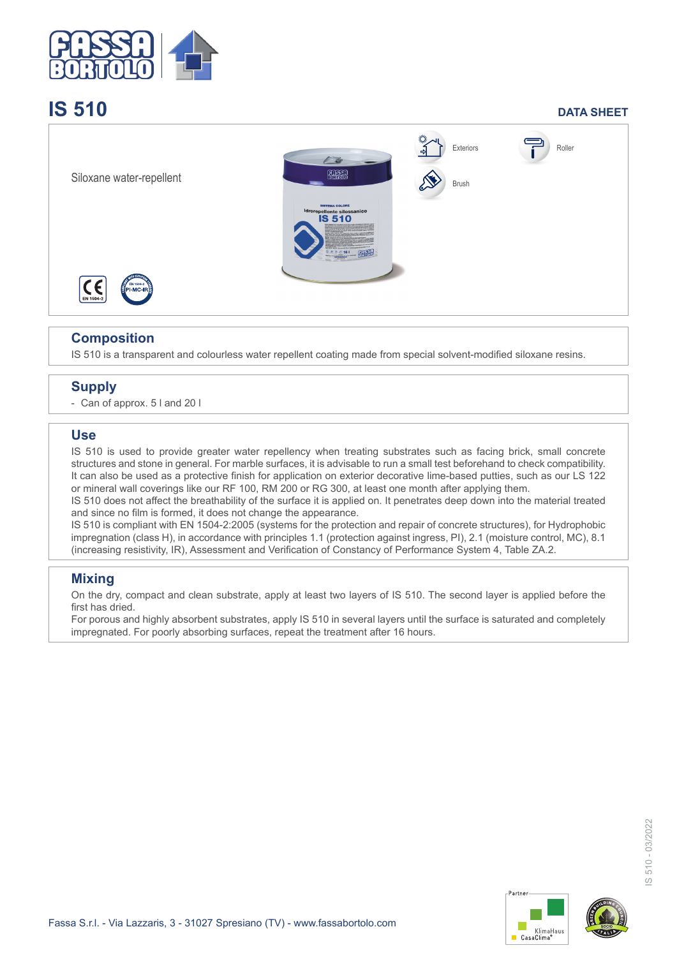

# **IS 510 DATA SHEET**



# **Composition**

IS 510 is a transparent and colourless water repellent coating made from special solvent-modified siloxane resins.

# **Supply**

- Can of approx. 5 l and 20 l

#### **Use**

IS 510 is used to provide greater water repellency when treating substrates such as facing brick, small concrete structures and stone in general. For marble surfaces, it is advisable to run a small test beforehand to check compatibility. It can also be used as a protective finish for application on exterior decorative lime-based putties, such as our LS 122 or mineral wall coverings like our RF 100, RM 200 or RG 300, at least one month after applying them.

IS 510 does not affect the breathability of the surface it is applied on. It penetrates deep down into the material treated and since no film is formed, it does not change the appearance.

IS 510 is compliant with EN 1504-2:2005 (systems for the protection and repair of concrete structures), for Hydrophobic impregnation (class H), in accordance with principles 1.1 (protection against ingress, PI), 2.1 (moisture control, MC), 8.1 (increasing resistivity, IR), Assessment and Verification of Constancy of Performance System 4, Table ZA.2.

### **Mixing**

On the dry, compact and clean substrate, apply at least two layers of IS 510. The second layer is applied before the first has dried.

For porous and highly absorbent substrates, apply IS 510 in several layers until the surface is saturated and completely impregnated. For poorly absorbing surfaces, repeat the treatment after 16 hours.